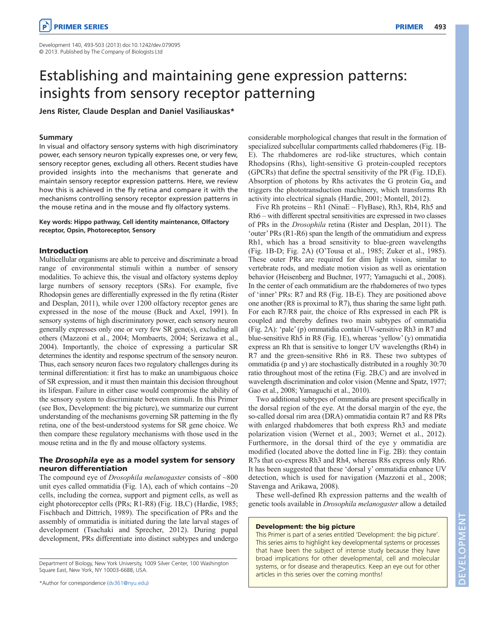# Establishing and maintaining gene expression patterns: insights from sensory receptor patterning

**Jens Rister, Claude Desplan and Daniel Vasiliauskas\***

## **Summary**

In visual and olfactory sensory systems with high discriminatory power, each sensory neuron typically expresses one, or very few, sensory receptor genes, excluding all others. Recent studies have provided insights into the mechanisms that generate and maintain sensory receptor expression patterns. Here, we review how this is achieved in the fly retina and compare it with the mechanisms controlling sensory receptor expression patterns in the mouse retina and in the mouse and fly olfactory systems.

## **Key words: Hippo pathway, Cell identity maintenance, Olfactory receptor, Opsin, Photoreceptor, Sensory**

## **Introduction**

Multicellular organisms are able to perceive and discriminate a broad range of environmental stimuli within a number of sensory modalities. To achieve this, the visual and olfactory systems deploy large numbers of sensory receptors (SRs). For example, five Rhodopsin genes are differentially expressed in the fly retina (Rister and Desplan, 2011), while over 1200 olfactory receptor genes are expressed in the nose of the mouse (Buck and Axel, 1991). In sensory systems of high discriminatory power, each sensory neuron generally expresses only one or very few SR gene(s), excluding all others (Mazzoni et al., 2004; Mombaerts, 2004; Serizawa et al., 2004). Importantly, the choice of expressing a particular SR determines the identity and response spectrum of the sensory neuron. Thus, each sensory neuron faces two regulatory challenges during its terminal differentiation: it first has to make an unambiguous choice of SR expression, and it must then maintain this decision throughout its lifespan. Failure in either case would compromise the ability of the sensory system to discriminate between stimuli. In this Primer (see Box, Development: the big picture), we summarize our current understanding of the mechanisms governing SR patterning in the fly retina, one of the best-understood systems for SR gene choice. We then compare these regulatory mechanisms with those used in the mouse retina and in the fly and mouse olfactory systems.

## **The** *Drosophila* **eye as a model system for sensory neuron differentiation**

The compound eye of *Drosophila melanogaster* consists of ~800 unit eyes called ommatidia (Fig. 1A), each of which contains  $\sim 20$ cells, including the cornea, support and pigment cells, as well as eight photoreceptor cells (PRs; R1-R8) (Fig. 1B,C) (Hardie, 1985; Fischbach and Dittrich, 1989). The specification of PRs and the assembly of ommatidia is initiated during the late larval stages of development (Tsachaki and Sprecher, 2012). During pupal development, PRs differentiate into distinct subtypes and undergo

considerable morphological changes that result in the formation of specialized subcellular compartments called rhabdomeres (Fig. 1B-E). The rhabdomeres are rod-like structures, which contain Rhodopsins (Rhs), light-sensitive G protein-coupled receptors (GPCRs) that define the spectral sensitivity of the PR (Fig. 1D,E). Absorption of photons by Rhs activates the G protein  $Ga<sub>q</sub>$  and triggers the phototransduction machinery, which transforms Rh activity into electrical signals (Hardie, 2001; Montell, 2012).

Five Rh proteins – Rh1 (NinaE – FlyBase), Rh3, Rh4, Rh5 and Rh6 – with different spectral sensitivities are expressed in two classes of PRs in the *Drosophila* retina (Rister and Desplan, 2011). The 'outer' PRs (R1-R6) span the length of the ommatidium and express Rh1, which has a broad sensitivity to blue-green wavelengths (Fig. 1B-D; Fig. 2A) (O'Tousa et al., 1985; Zuker et al., 1985). These outer PRs are required for dim light vision, similar to vertebrate rods, and mediate motion vision as well as orientation behavior (Heisenberg and Buchner, 1977; Yamaguchi et al., 2008). In the center of each ommatidium are the rhabdomeres of two types of 'inner' PRs: R7 and R8 (Fig. 1B-E). They are positioned above one another (R8 is proximal to R7), thus sharing the same light path. For each R7/R8 pair, the choice of Rhs expressed in each PR is coupled and thereby defines two main subtypes of ommatidia (Fig. 2A): 'pale' (p) ommatidia contain UV-sensitive Rh3 in R7 and blue-sensitive Rh5 in R8 (Fig. 1E), whereas 'yellow' (y) ommatidia express an Rh that is sensitive to longer UV wavelengths (Rh4) in R7 and the green-sensitive Rh6 in R8. These two subtypes of ommatidia (p and y) are stochastically distributed in a roughly 30:70 ratio throughout most of the retina (Fig. 2B,C) and are involved in wavelength discrimination and color vision (Menne and Spatz, 1977; Gao et al., 2008; Yamaguchi et al., 2010).

Two additional subtypes of ommatidia are present specifically in the dorsal region of the eye. At the dorsal margin of the eye, the so-called dorsal rim area (DRA) ommatidia contain R7 and R8 PRs with enlarged rhabdomeres that both express Rh3 and mediate polarization vision (Wernet et al., 2003; Wernet et al., 2012). Furthermore, in the dorsal third of the eye y ommatidia are modified (located above the dotted line in Fig. 2B): they contain R7s that co-express Rh3 and Rh4, whereas R8s express only Rh6. It has been suggested that these 'dorsal y' ommatidia enhance UV detection, which is used for navigation (Mazzoni et al., 2008; Stavenga and Arikawa, 2008).

These well-defined Rh expression patterns and the wealth of genetic tools available in *Drosophila melanogaster* allow a detailed

#### **Development: the big picture**

This Primer is part of a series entitled 'Development: the big picture'. This series aims to highlight key developmental systems or processes that have been the subject of intense study because they have broad implications for other developmental, cell and molecular systems, or for disease and therapeutics. Keep an eye out for other articles in this series over the coming months!

Department of Biology, New York University, 1009 Silver Center, 100 Washington Square East, New York, NY 10003-6688, USA.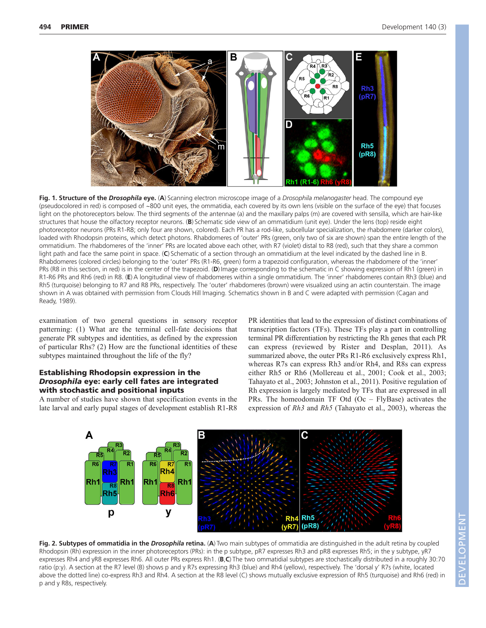

**Fig. 1. Structure of the** *Drosophila* **eye.** (**A**) Scanning electron microscope image of a *Drosophila melanogaster* head. The compound eye (pseudocolored in red) is composed of ~800 unit eyes, the ommatidia, each covered by its own lens (visible on the surface of the eye) that focuses light on the photoreceptors below. The third segments of the antennae (a) and the maxillary palps (m) are covered with sensilla, which are hair-like structures that house the olfactory receptor neurons. (**B**) Schematic side view of an ommatidium (unit eye). Under the lens (top) reside eight photoreceptor neurons (PRs R1-R8; only four are shown, colored). Each PR has a rod-like, subcellular specialization, the rhabdomere (darker colors), loaded with Rhodopsin proteins, which detect photons. Rhabdomeres of 'outer' PRs (green, only two of six are shown) span the entire length of the ommatidium. The rhabdomeres of the 'inner' PRs are located above each other, with R7 (violet) distal to R8 (red), such that they share a common light path and face the same point in space. (**C**) Schematic of a section through an ommatidium at the level indicated by the dashed line in B. Rhabdomeres (colored circles) belonging to the 'outer' PRs (R1-R6, green) form a trapezoid configuration, whereas the rhabdomere of the 'inner' PRs (R8 in this section, in red) is in the center of the trapezoid. (**D**) Image corresponding to the schematic in C showing expression of Rh1 (green) in R1-R6 PRs and Rh6 (red) in R8. (**E**) A longitudinal view of rhabdomeres within a single ommatidium. The 'inner' rhabdomeres contain Rh3 (blue) and Rh5 (turquoise) belonging to R7 and R8 PRs, respectively. The 'outer' rhabdomeres (brown) were visualized using an actin counterstain. The image shown in A was obtained with permission from Clouds Hill Imaging. Schematics shown in B and C were adapted with permission (Cagan and Ready, 1989).

examination of two general questions in sensory receptor patterning: (1) What are the terminal cell-fate decisions that generate PR subtypes and identities, as defined by the expression of particular Rhs? (2) How are the functional identities of these subtypes maintained throughout the life of the fly?

# **Establishing Rhodopsin expression in the** *Drosophila* **eye: early cell fates are integrated with stochastic and positional inputs**

A number of studies have shown that specification events in the late larval and early pupal stages of development establish R1-R8 PR identities that lead to the expression of distinct combinations of transcription factors (TFs). These TFs play a part in controlling terminal PR differentiation by restricting the Rh genes that each PR can express (reviewed by Rister and Desplan, 2011). As summarized above, the outer PRs R1-R6 exclusively express Rh1, whereas R7s can express Rh3 and/or Rh4, and R8s can express either Rh5 or Rh6 (Mollereau et al., 2001; Cook et al., 2003; Tahayato et al., 2003; Johnston et al., 2011). Positive regulation of Rh expression is largely mediated by TFs that are expressed in all PRs. The homeodomain TF Otd (Oc – FlyBase) activates the expression of *Rh3* and *Rh5* (Tahayato et al., 2003), whereas the



**Fig. 2. Subtypes of ommatidia in the** *Drosophila* **retina.** (**A**) Two main subtypes of ommatidia are distinguished in the adult retina by coupled Rhodopsin (Rh) expression in the inner photoreceptors (PRs): in the p subtype, pR7 expresses Rh3 and pR8 expresses Rh5; in the y subtype, yR7 expresses Rh4 and yR8 expresses Rh6. All outer PRs express Rh1. (**B**,**C**) The two ommatidial subtypes are stochastically distributed in a roughly 30:70 ratio (p:y). A section at the R7 level (B) shows p and y R7s expressing Rh3 (blue) and Rh4 (yellow), respectively. The 'dorsal y' R7s (white, located above the dotted line) co-express Rh3 and Rh4. A section at the R8 level (C) shows mutually exclusive expression of Rh5 (turquoise) and Rh6 (red) in p and y R8s, respectively.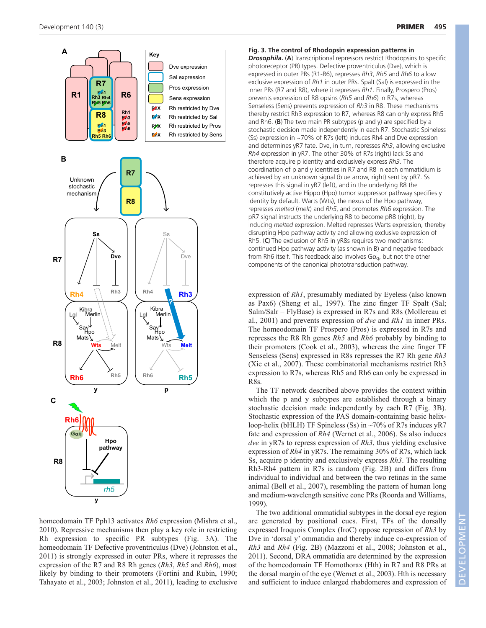

homeodomain TF Pph13 activates *Rh6* expression (Mishra et al., 2010). Repressive mechanisms then play a key role in restricting Rh expression to specific PR subtypes (Fig. 3A). The homeodomain TF Defective proventriculus (Dve) (Johnston et al., 2011) is strongly expressed in outer PRs, where it represses the expression of the R7 and R8 Rh genes (*Rh3*, *Rh5* and *Rh6*), most likely by binding to their promoters (Fortini and Rubin, 1990; Tahayato et al., 2003; Johnston et al., 2011), leading to exclusive

**Key <b>Fig. 3.** The control of Rhodopsin expression patterns in

*Drosophila*. (A) Transcriptional repressors restrict Rhodopsins to specific photoreceptor (PR) types. Defective proventriculus (Dve), which is expressed in outer PRs (R1-R6), represses *Rh3*, *Rh5* and *Rh6* to allow exclusive expression of *Rh1* in outer PRs. Spalt (Sal) is expressed in the inner PRs (R7 and R8), where it represses *Rh1*. Finally, Prospero (Pros) prevents expression of R8 opsins (*Rh5* and *Rh6*) in R7s, whereas Senseless (Sens) prevents expression of *Rh3* in R8. These mechanisms thereby restrict Rh3 expression to R7, whereas R8 can only express Rh5 and Rh6. (**B**) The two main PR subtypes (p and y) are specified by a stochastic decision made independently in each R7. Stochastic Spineless (Ss) expression in ~70% of R7s (left) induces Rh4 and Dve expression and determines yR7 fate. Dve, in turn, represses *Rh3*, allowing exclusive *Rh4* expression in yR7. The other 30% of R7s (right) lack Ss and therefore acquire p identity and exclusively express *Rh3*. The coordination of p and y identities in R7 and R8 in each ommatidium is achieved by an unknown signal (blue arrow, right) sent by pR7. Ss represses this signal in yR7 (left), and in the underlying R8 the constitutively active Hippo (Hpo) tumor suppressor pathway specifies y identity by default. Warts (Wts), the nexus of the Hpo pathway, represses *melted* (*melt*) and *Rh5*, and promotes *Rh6* expression. The pR7 signal instructs the underlying R8 to become pR8 (right), by inducing *melted* expression. Melted represses Warts expression, thereby disrupting Hpo pathway activity and allowing exclusive expression of Rh5. (**C**) The exclusion of Rh5 in yR8s requires two mechanisms: continued Hpo pathway activity (as shown in B) and negative feedback from Rh6 itself. This feedback also involves  $G\alpha_{\alpha}$ , but not the other components of the canonical phototransduction pathway.

expression of *Rh1*, presumably mediated by Eyeless (also known as Pax6) (Sheng et al., 1997). The zinc finger TF Spalt (Sal; Salm/Salr – FlyBase) is expressed in R7s and R8s (Mollereau et al., 2001) and prevents expression of *dve* and *Rh1* in inner PRs. The homeodomain TF Prospero (Pros) is expressed in R7s and represses the R8 Rh genes *Rh5* and *Rh6* probably by binding to their promoters (Cook et al., 2003), whereas the zinc finger TF Senseless (Sens) expressed in R8s represses the R7 Rh gene *Rh3* (Xie et al., 2007). These combinatorial mechanisms restrict Rh3 expression to R7s, whereas Rh5 and Rh6 can only be expressed in R8s.

The TF network described above provides the context within which the p and y subtypes are established through a binary stochastic decision made independently by each R7 (Fig. 3B). Stochastic expression of the PAS domain-containing basic helixloop-helix (bHLH) TF Spineless (Ss) in  $\sim$ 70% of R7s induces yR7 fate and expression of *Rh4* (Wernet et al., 2006). Ss also induces *dve* in yR7s to repress expression of *Rh3*, thus yielding exclusive expression of *Rh4* in yR7s. The remaining 30% of R7s, which lack Ss, acquire p identity and exclusively express *Rh3*. The resulting Rh3-Rh4 pattern in R7s is random (Fig. 2B) and differs from individual to individual and between the two retinas in the same animal (Bell et al., 2007), resembling the pattern of human long and medium-wavelength sensitive cone PRs (Roorda and Williams, 1999).

The two additional ommatidial subtypes in the dorsal eye region are generated by positional cues. First, TFs of the dorsally expressed Iroquois Complex (IroC) oppose repression of *Rh3* by Dve in 'dorsal y' ommatidia and thereby induce co-expression of *Rh3* and *Rh4* (Fig. 2B) (Mazzoni et al., 2008; Johnston et al., 2011). Second, DRA ommatidia are determined by the expression of the homeodomain TF Homothorax (Hth) in R7 and R8 PRs at the dorsal margin of the eye (Wernet et al., 2003). Hth is necessary and sufficient to induce enlarged rhabdomeres and expression of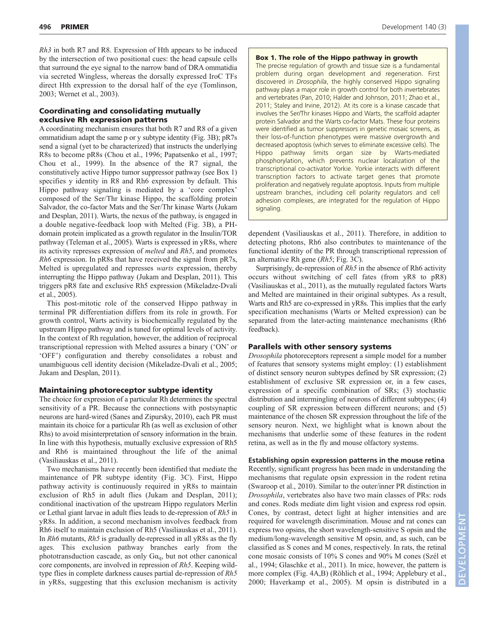*Rh3* in both R7 and R8. Expression of Hth appears to be induced by the intersection of two positional cues: the head capsule cells that surround the eye signal to the narrow band of DRA ommatidia via secreted Wingless, whereas the dorsally expressed IroC TFs direct Hth expression to the dorsal half of the eye (Tomlinson, 2003; Wernet et al., 2003).

# **Coordinating and consolidating mutually exclusive Rh expression patterns**

A coordinating mechanism ensures that both R7 and R8 of a given ommatidium adapt the same p or y subtype identity (Fig. 3B); pR7s send a signal (yet to be characterized) that instructs the underlying R8s to become pR8s (Chou et al., 1996; Papatsenko et al., 1997; Chou et al., 1999). In the absence of the R7 signal, the constitutively active Hippo tumor suppressor pathway (see Box 1) specifies y identity in R8 and Rh6 expression by default. This Hippo pathway signaling is mediated by a 'core complex' composed of the Ser/Thr kinase Hippo, the scaffolding protein Salvador, the co-factor Mats and the Ser/Thr kinase Warts (Jukam and Desplan, 2011). Warts, the nexus of the pathway, is engaged in a double negative-feedback loop with Melted (Fig. 3B), a PHdomain protein implicated as a growth regulator in the Insulin/TOR pathway (Teleman et al., 2005). Warts is expressed in yR8s, where its activity represses expression of *melted* and *Rh5*, and promotes *Rh6* expression. In pR8s that have received the signal from pR7s, Melted is upregulated and represses *warts* expression, thereby interrupting the Hippo pathway (Jukam and Desplan, 2011). This triggers pR8 fate and exclusive Rh5 expression (Mikeladze-Dvali et al., 2005).

This post-mitotic role of the conserved Hippo pathway in terminal PR differentiation differs from its role in growth. For growth control, Warts activity is biochemically regulated by the upstream Hippo pathway and is tuned for optimal levels of activity. In the context of Rh regulation, however, the addition of reciprocal transcriptional repression with Melted assures a binary ('ON' or 'OFF') configuration and thereby consolidates a robust and unambiguous cell identity decision (Mikeladze-Dvali et al., 2005; Jukam and Desplan, 2011).

# **Maintaining photoreceptor subtype identity**

The choice for expression of a particular Rh determines the spectral sensitivity of a PR. Because the connections with postsynaptic neurons are hard-wired (Sanes and Zipursky, 2010), each PR must maintain its choice for a particular Rh (as well as exclusion of other Rhs) to avoid misinterpretation of sensory information in the brain. In line with this hypothesis, mutually exclusive expression of Rh5 and Rh6 is maintained throughout the life of the animal (Vasiliauskas et al., 2011).

Two mechanisms have recently been identified that mediate the maintenance of PR subtype identity (Fig. 3C). First, Hippo pathway activity is continuously required in yR8s to maintain exclusion of Rh5 in adult flies (Jukam and Desplan, 2011); conditional inactivation of the upstream Hippo regulators Merlin or Lethal giant larvae in adult flies leads to de-repression of *Rh5* in yR8s. In addition, a second mechanism involves feedback from Rh6 itself to maintain exclusion of Rh5 (Vasiliauskas et al., 2011). In *Rh6* mutants, *Rh5* is gradually de-repressed in all yR8s as the fly ages. This exclusion pathway branches early from the phototransduction cascade, as only  $Ga_{q}$ , but not other canonical core components, are involved in repression of *Rh5*. Keeping wildtype flies in complete darkness causes partial de-repression of *Rh5* in yR8s, suggesting that this exclusion mechanism is activity

#### **Box 1. The role of the Hippo pathway in growth**

The precise regulation of growth and tissue size is a fundamental problem during organ development and regeneration. First discovered in *Drosophila*, the highly conserved Hippo signaling pathway plays a major role in growth control for both invertebrates and vertebrates (Pan, 2010; Halder and Johnson, 2011; Zhao et al., 2011; Staley and Irvine, 2012). At its core is a kinase cascade that involves the Ser/Thr kinases Hippo and Warts, the scaffold adapter protein Salvador and the Warts co-factor Mats. These four proteins were identified as tumor suppressors in genetic mosaic screens, as their loss-of-function phenotypes were massive overgrowth and decreased apoptosis (which serves to eliminate excessive cells). The Hippo pathway limits organ size by Warts-mediated phosphorylation, which prevents nuclear localization of the transcriptional co-activator Yorkie. Yorkie interacts with different transcription factors to activate target genes that promote proliferation and negatively regulate apoptosis. Inputs from multiple upstream branches, including cell polarity regulators and cell adhesion complexes, are integrated for the regulation of Hippo signaling.

dependent (Vasiliauskas et al., 2011). Therefore, in addition to detecting photons, Rh6 also contributes to maintenance of the functional identity of the PR through transcriptional repression of an alternative Rh gene (*Rh5*; Fig. 3C).

Surprisingly, de-repression of *Rh5* in the absence of Rh6 activity occurs without switching of cell fates (from yR8 to pR8) (Vasiliauskas et al., 2011), as the mutually regulated factors Warts and Melted are maintained in their original subtypes. As a result, Warts and Rh5 are co-expressed in yR8s. This implies that the early specification mechanisms (Warts or Melted expression) can be separated from the later-acting maintenance mechanisms (Rh6 feedback).

### **Parallels with other sensory systems**

*Drosophila* photoreceptors represent a simple model for a number of features that sensory systems might employ: (1) establishment of distinct sensory neuron subtypes defined by SR expression; (2) establishment of exclusive SR expression or, in a few cases, expression of a specific combination of SRs; (3) stochastic distribution and intermingling of neurons of different subtypes; (4) coupling of SR expression between different neurons; and (5) maintenance of the chosen SR expression throughout the life of the sensory neuron. Next, we highlight what is known about the mechanisms that underlie some of these features in the rodent retina, as well as in the fly and mouse olfactory systems.

### **Establishing opsin expression patterns in the mouse retina**

Recently, significant progress has been made in understanding the mechanisms that regulate opsin expression in the rodent retina (Swaroop et al., 2010). Similar to the outer/inner PR distinction in *Drosophila*, vertebrates also have two main classes of PRs: rods and cones. Rods mediate dim light vision and express rod opsin. Cones, by contrast, detect light at higher intensities and are required for wavelength discrimination. Mouse and rat cones can express two opsins, the short wavelength-sensitive S opsin and the medium/long-wavelength sensitive M opsin, and, as such, can be classified as S cones and M cones, respectively. In rats, the retinal cone mosaic consists of 10% S cones and 90% M cones (Szél et al., 1994; Glaschke et al., 2011). In mice, however, the pattern is more complex (Fig. 4A,B) (Röhlich et al., 1994; Applebury et al., 2000; Haverkamp et al., 2005). M opsin is distributed in a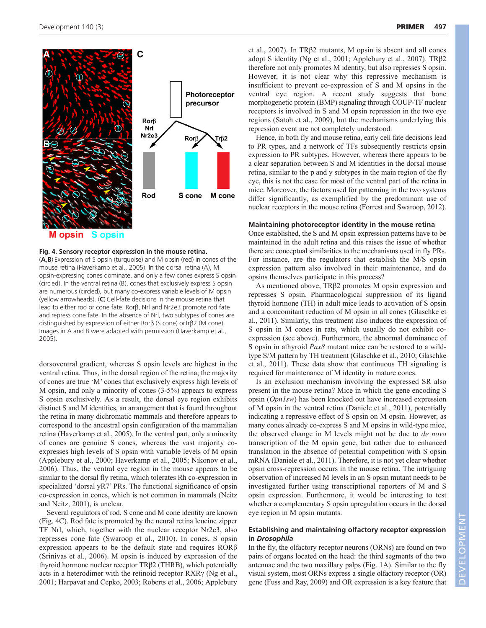

#### **Fig. 4. Sensory receptor expression in the mouse retina.**

(**A**,**B**) Expression of S opsin (turquoise) and M opsin (red) in cones of the mouse retina (Haverkamp et al., 2005). In the dorsal retina (A), M opsin-expressing cones dominate, and only a few cones express S opsin (circled). In the ventral retina (B), cones that exclusively express S opsin are numerous (circled), but many co-express variable levels of M opsin (yellow arrowheads). (**C**) Cell-fate decisions in the mouse retina that lead to either rod or cone fate. Ror $\beta$ , Nrl and Nr2e3 promote rod fate and repress cone fate. In the absence of Nrl, two subtypes of cones are distinguished by expression of either Ror $\beta$  (S cone) orTr $\beta$ 2 (M cone). Images in A and B were adapted with permission (Haverkamp et al., 2005).

dorsoventral gradient, whereas S opsin levels are highest in the ventral retina. Thus, in the dorsal region of the retina, the majority of cones are true 'M' cones that exclusively express high levels of M opsin, and only a minority of cones (3-5%) appears to express S opsin exclusively. As a result, the dorsal eye region exhibits distinct S and M identities, an arrangement that is found throughout the retina in many dichromatic mammals and therefore appears to correspond to the ancestral opsin configuration of the mammalian retina (Haverkamp et al., 2005). In the ventral part, only a minority of cones are genuine S cones, whereas the vast majority coexpresses high levels of S opsin with variable levels of M opsin (Applebury et al., 2000; Haverkamp et al., 2005; Nikonov et al., 2006). Thus, the ventral eye region in the mouse appears to be similar to the dorsal fly retina, which tolerates Rh co-expression in specialized 'dorsal yR7' PRs. The functional significance of opsin co-expression in cones, which is not common in mammals (Neitz and Neitz, 2001), is unclear.

Several regulators of rod, S cone and M cone identity are known (Fig. 4C). Rod fate is promoted by the neural retina leucine zipper TF Nrl, which, together with the nuclear receptor Nr2e3, also represses cone fate (Swaroop et al., 2010). In cones, S opsin expression appears to be the default state and requires RORβ (Srinivas et al., 2006). M opsin is induced by expression of the thyroid hormone nuclear receptor TRβ2 (THRB), which potentially acts in a heterodimer with the retinoid receptor RXRγ (Ng et al., 2001; Harpavat and Cepko, 2003; Roberts et al., 2006; Applebury et al., 2007). In TRβ2 mutants, M opsin is absent and all cones adopt S identity (Ng et al., 2001; Applebury et al., 2007). TRβ2 therefore not only promotes M identity, but also represses S opsin. However, it is not clear why this repressive mechanism is insufficient to prevent co-expression of S and M opsins in the ventral eye region. A recent study suggests that bone morphogenetic protein (BMP) signaling through COUP-TF nuclear receptors is involved in S and M opsin repression in the two eye regions (Satoh et al., 2009), but the mechanisms underlying this repression event are not completely understood.

Hence, in both fly and mouse retina, early cell fate decisions lead to PR types, and a network of TFs subsequently restricts opsin expression to PR subtypes. However, whereas there appears to be a clear separation between S and M identities in the dorsal mouse retina, similar to the p and y subtypes in the main region of the fly eye, this is not the case for most of the ventral part of the retina in mice. Moreover, the factors used for patterning in the two systems differ significantly, as exemplified by the predominant use of nuclear receptors in the mouse retina (Forrest and Swaroop, 2012).

#### **Maintaining photoreceptor identity in the mouse retina**

Once established, the S and M opsin expression patterns have to be maintained in the adult retina and this raises the issue of whether there are conceptual similarities to the mechanisms used in fly PRs. For instance, are the regulators that establish the M/S opsin expression pattern also involved in their maintenance, and do opsins themselves participate in this process?

As mentioned above, TRβ2 promotes M opsin expression and represses S opsin. Pharmacological suppression of its ligand thyroid hormone (TH) in adult mice leads to activation of S opsin and a concomitant reduction of M opsin in all cones (Glaschke et al., 2011). Similarly, this treatment also induces the expression of S opsin in M cones in rats, which usually do not exhibit coexpression (see above). Furthermore, the abnormal dominance of S opsin in athyroid *Pax8* mutant mice can be restored to a wildtype S/M pattern by TH treatment (Glaschke et al., 2010; Glaschke et al., 2011). These data show that continuous TH signaling is required for maintenance of M identity in mature cones.

Is an exclusion mechanism involving the expressed SR also present in the mouse retina? Mice in which the gene encoding S opsin (*Opn1sw*) has been knocked out have increased expression of M opsin in the ventral retina (Daniele et al., 2011), potentially indicating a repressive effect of S opsin on M opsin. However, as many cones already co-express S and M opsins in wild-type mice, the observed change in M levels might not be due to *de novo* transcription of the M opsin gene, but rather due to enhanced translation in the absence of potential competition with S opsin mRNA (Daniele et al., 2011). Therefore, it is not yet clear whether opsin cross-repression occurs in the mouse retina. The intriguing observation of increased M levels in an S opsin mutant needs to be investigated further using transcriptional reporters of M and S opsin expression. Furthermore, it would be interesting to test whether a complementary S opsin upregulation occurs in the dorsal eye region in M opsin mutants.

# **Establishing and maintaining olfactory receptor expression in** *Drosophila*

In the fly, the olfactory receptor neurons (ORNs) are found on two pairs of organs located on the head: the third segments of the two antennae and the two maxillary palps (Fig. 1A). Similar to the fly visual system, most ORNs express a single olfactory receptor (OR) gene (Fuss and Ray, 2009) and OR expression is a key feature that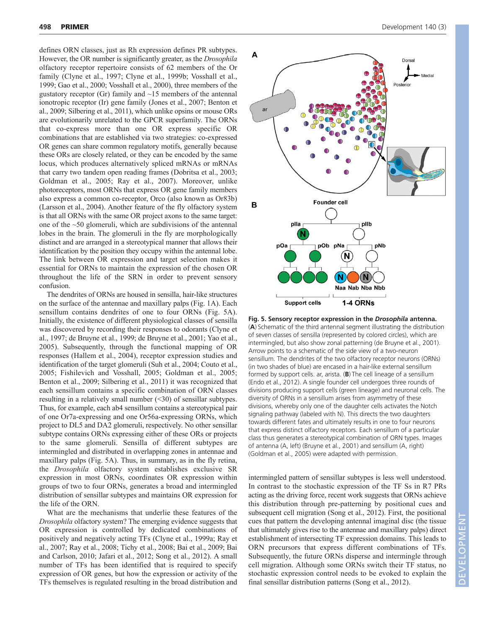defines ORN classes, just as Rh expression defines PR subtypes. However, the OR number is significantly greater, as the *Drosophila* olfactory receptor repertoire consists of 62 members of the Or family (Clyne et al., 1997; Clyne et al., 1999b; Vosshall et al., 1999; Gao et al., 2000; Vosshall et al., 2000), three members of the gustatory receptor (Gr) family and  $\sim$ 15 members of the antennal ionotropic receptor (Ir) gene family (Jones et al., 2007; Benton et al., 2009; Silbering et al., 2011), which unlike opsins or mouse ORs are evolutionarily unrelated to the GPCR superfamily. The ORNs that co-express more than one OR express specific OR combinations that are established via two strategies: co-expressed OR genes can share common regulatory motifs, generally because these ORs are closely related, or they can be encoded by the same locus, which produces alternatively spliced mRNAs or mRNAs that carry two tandem open reading frames (Dobritsa et al., 2003; Goldman et al., 2005; Ray et al., 2007). Moreover, unlike photoreceptors, most ORNs that express OR gene family members also express a common co-receptor, Orco (also known as Or83b) (Larsson et al., 2004). Another feature of the fly olfactory system is that all ORNs with the same OR project axons to the same target: one of the  $\sim$ 50 glomeruli, which are subdivisions of the antennal lobes in the brain. The glomeruli in the fly are morphologically distinct and are arranged in a stereotypical manner that allows their identification by the position they occupy within the antennal lobe. The link between OR expression and target selection makes it essential for ORNs to maintain the expression of the chosen OR throughout the life of the SRN in order to prevent sensory confusion.

The dendrites of ORNs are housed in sensilla, hair-like structures on the surface of the antennae and maxillary palps (Fig. 1A). Each sensillum contains dendrites of one to four ORNs (Fig. 5A). Initially, the existence of different physiological classes of sensilla was discovered by recording their responses to odorants (Clyne et al., 1997; de Bruyne et al., 1999; de Bruyne et al., 2001; Yao et al., 2005). Subsequently, through the functional mapping of OR responses (Hallem et al., 2004), receptor expression studies and identification of the target glomeruli (Suh et al., 2004; Couto et al., 2005; Fishilevich and Vosshall, 2005; Goldman et al., 2005; Benton et al., 2009; Silbering et al., 2011) it was recognized that each sensillum contains a specific combination of ORN classes resulting in a relatively small number  $(\leq 30)$  of sensillar subtypes. Thus, for example, each ab4 sensillum contains a stereotypical pair of one Or7a-expressing and one Or56a-expressing ORNs, which project to DL5 and DA2 glomeruli, respectively. No other sensillar subtype contains ORNs expressing either of these ORs or projects to the same glomeruli. Sensilla of different subtypes are intermingled and distributed in overlapping zones in antennae and maxillary palps (Fig. 5A). Thus, in summary, as in the fly retina, the *Drosophila* olfactory system establishes exclusive SR expression in most ORNs, coordinates OR expression within groups of two to four ORNs, generates a broad and intermingled distribution of sensillar subtypes and maintains OR expression for the life of the ORN.

What are the mechanisms that underlie these features of the *Drosophila* olfactory system? The emerging evidence suggests that OR expression is controlled by dedicated combinations of positively and negatively acting TFs (Clyne et al., 1999a; Ray et al., 2007; Ray et al., 2008; Tichy et al., 2008; Bai et al., 2009; Bai and Carlson, 2010; Jafari et al., 2012; Song et al., 2012). A small number of TFs has been identified that is required to specify expression of OR genes, but how the expression or activity of the TFs themselves is regulated resulting in the broad distribution and



**Fig. 5. Sensory receptor expression in the** *Drosophila* **antenna.** (**A**) Schematic of the third antennal segment illustrating the distribution of seven classes of sensilla (represented by colored circles), which are intermingled, but also show zonal patterning (de Bruyne et al., 2001). Arrow points to a schematic of the side view of a two-neuron sensillum. The dendrites of the two olfactory receptor neurons (ORNs) (in two shades of blue) are encased in a hair-like external sensillum formed by support cells. ar, arista. (**B**) The cell lineage of a sensillum (Endo et al., 2012). A single founder cell undergoes three rounds of divisions producing support cells (green lineage) and neuronal cells. The diversity of ORNs in a sensillum arises from asymmetry of these divisions, whereby only one of the daughter cells activates the Notch signaling pathway (labeled with N). This directs the two daughters towards different fates and ultimately results in one to four neurons that express distinct olfactory receptors. Each sensillum of a particular class thus generates a stereotypical combination of ORN types. Images of antenna (A, left) (Bruyne et al., 2001) and sensillum (A, right) (Goldman et al., 2005) were adapted with permission.

intermingled pattern of sensillar subtypes is less well understood. In contrast to the stochastic expression of the TF Ss in R7 PRs acting as the driving force, recent work suggests that ORNs achieve this distribution through pre-patterning by positional cues and subsequent cell migration (Song et al., 2012). First, the positional cues that pattern the developing antennal imaginal disc (the tissue that ultimately gives rise to the antennae and maxillary palps) direct establishment of intersecting TF expression domains. This leads to ORN precursors that express different combinations of TFs. Subsequently, the future ORNs disperse and intermingle through cell migration. Although some ORNs switch their TF status, no stochastic expression control needs to be evoked to explain the final sensillar distribution patterns (Song et al., 2012).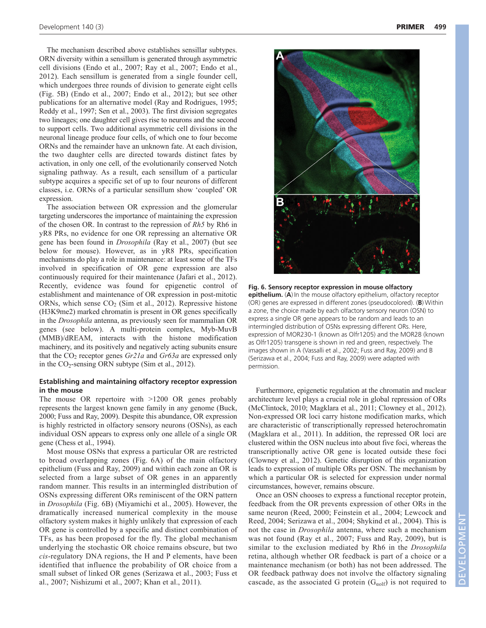The mechanism described above establishes sensillar subtypes. ORN diversity within a sensillum is generated through asymmetric cell divisions (Endo et al., 2007; Ray et al., 2007; Endo et al., 2012). Each sensillum is generated from a single founder cell, which undergoes three rounds of division to generate eight cells (Fig. 5B) (Endo et al., 2007; Endo et al., 2012); but see other publications for an alternative model (Ray and Rodrigues, 1995; Reddy et al., 1997; Sen et al., 2003). The first division segregates two lineages; one daughter cell gives rise to neurons and the second to support cells. Two additional asymmetric cell divisions in the neuronal lineage produce four cells, of which one to four become ORNs and the remainder have an unknown fate. At each division, the two daughter cells are directed towards distinct fates by activation, in only one cell, of the evolutionarily conserved Notch signaling pathway. As a result, each sensillum of a particular subtype acquires a specific set of up to four neurons of different classes, i.e. ORNs of a particular sensillum show 'coupled' OR expression.

The association between OR expression and the glomerular targeting underscores the importance of maintaining the expression of the chosen OR. In contrast to the repression of *Rh5* by Rh6 in yR8 PRs, no evidence for one OR repressing an alternative OR gene has been found in *Drosophila* (Ray et al., 2007) (but see below for mouse). However, as in yR8 PRs, specification mechanisms do play a role in maintenance: at least some of the TFs involved in specification of OR gene expression are also continuously required for their maintenance (Jafari et al., 2012). Recently, evidence was found for epigenetic control of establishment and maintenance of OR expression in post-mitotic ORNs, which sense  $CO<sub>2</sub>$  (Sim et al., 2012). Repressive histone (H3K9me2) marked chromatin is present in OR genes specifically in the *Drosophila* antenna, as previously seen for mammalian OR genes (see below). A multi-protein complex, Myb-MuvB (MMB)/dREAM, interacts with the histone modification machinery, and its positively and negatively acting subunits ensure that the  $CO<sub>2</sub>$  receptor genes  $Gr21a$  and  $Gr63a$  are expressed only in the  $CO_2$ -sensing ORN subtype (Sim et al., 2012).

## **Establishing and maintaining olfactory receptor expression in the mouse**

The mouse OR repertoire with >1200 OR genes probably represents the largest known gene family in any genome (Buck, 2000; Fuss and Ray, 2009). Despite this abundance, OR expression is highly restricted in olfactory sensory neurons (OSNs), as each individual OSN appears to express only one allele of a single OR gene (Chess et al., 1994).

Most mouse OSNs that express a particular OR are restricted to broad overlapping zones (Fig. 6A) of the main olfactory epithelium (Fuss and Ray, 2009) and within each zone an OR is selected from a large subset of OR genes in an apparently random manner. This results in an intermingled distribution of OSNs expressing different ORs reminiscent of the ORN pattern in *Drosophila* (Fig. 6B) (Miyamichi et al., 2005). However, the dramatically increased numerical complexity in the mouse olfactory system makes it highly unlikely that expression of each OR gene is controlled by a specific and distinct combination of TFs, as has been proposed for the fly. The global mechanism underlying the stochastic OR choice remains obscure, but two *cis*-regulatory DNA regions, the H and P elements, have been identified that influence the probability of OR choice from a small subset of linked OR genes (Serizawa et al., 2003; Fuss et al., 2007; Nishizumi et al., 2007; Khan et al., 2011).



**Fig. 6. Sensory receptor expression in mouse olfactory epithelium.** (**A**) In the mouse olfactory epithelium, olfactory receptor (OR) genes are expressed in different zones (pseudocolored). (**B**) Within a zone, the choice made by each olfactory sensory neuron (OSN) to express a single OR gene appears to be random and leads to an intermingled distribution of OSNs expressing different ORs. Here, expression of MOR230-1 (known as Olfr1205) and the MOR28 (known as Olfr1205) transgene is shown in red and green, respectively. The images shown in A (Vassalli et al., 2002; Fuss and Ray, 2009) and B (Serizawa et al., 2004; Fuss and Ray, 2009) were adapted with permission.

Furthermore, epigenetic regulation at the chromatin and nuclear architecture level plays a crucial role in global repression of ORs (McClintock, 2010; Magklara et al., 2011; Clowney et al., 2012). Non-expressed OR loci carry histone modification marks, which are characteristic of transcriptionally repressed heterochromatin (Magklara et al., 2011). In addition, the repressed OR loci are clustered within the OSN nucleus into about five foci, whereas the transcriptionally active OR gene is located outside these foci (Clowney et al., 2012). Genetic disruption of this organization leads to expression of multiple ORs per OSN. The mechanism by which a particular OR is selected for expression under normal circumstances, however, remains obscure.

Once an OSN chooses to express a functional receptor protein, feedback from the OR prevents expression of other ORs in the same neuron (Reed, 2000; Feinstein et al., 2004; Lewcock and Reed, 2004; Serizawa et al., 2004; Shykind et al., 2004). This is not the case in *Drosophila* antenna, where such a mechanism was not found (Ray et al., 2007; Fuss and Ray, 2009), but is similar to the exclusion mediated by Rh6 in the *Drosophila* retina, although whether OR feedback is part of a choice or a maintenance mechanism (or both) has not been addressed. The OR feedback pathway does not involve the olfactory signaling cascade, as the associated G protein  $(G_{\alpha 0}f)$  is not required to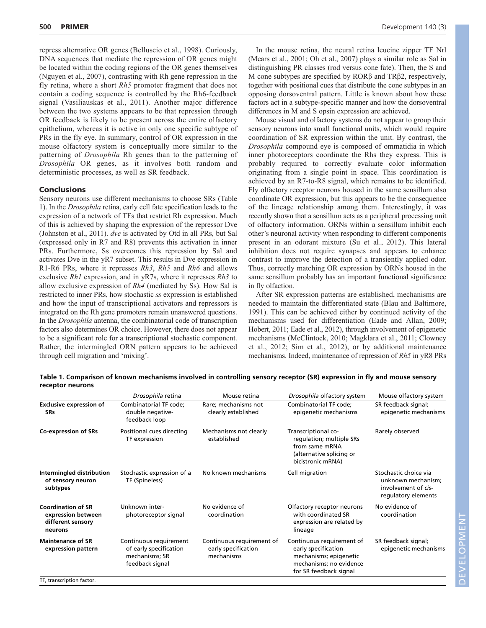repress alternative OR genes (Belluscio et al., 1998). Curiously, DNA sequences that mediate the repression of OR genes might be located within the coding regions of the OR genes themselves (Nguyen et al., 2007), contrasting with Rh gene repression in the fly retina, where a short *Rh5* promoter fragment that does not contain a coding sequence is controlled by the Rh6-feedback signal (Vasiliauskas et al., 2011). Another major difference between the two systems appears to be that repression through OR feedback is likely to be present across the entire olfactory epithelium, whereas it is active in only one specific subtype of PRs in the fly eye. In summary, control of OR expression in the mouse olfactory system is conceptually more similar to the patterning of *Drosophila* Rh genes than to the patterning of *Drosophila* OR genes, as it involves both random and deterministic processes, as well as SR feedback.

### **Conclusions**

Sensory neurons use different mechanisms to choose SRs (Table 1). In the *Drosophila* retina, early cell fate specification leads to the expression of a network of TFs that restrict Rh expression. Much of this is achieved by shaping the expression of the repressor Dve (Johnston et al., 2011). *dve* is activated by Otd in all PRs, but Sal (expressed only in R7 and R8) prevents this activation in inner PRs. Furthermore, Ss overcomes this repression by Sal and activates Dve in the yR7 subset. This results in Dve expression in R1-R6 PRs, where it represses *Rh3*, *Rh5* and *Rh6* and allows exclusive *Rh1* expression, and in yR7s, where it represses *Rh3* to allow exclusive expression of *Rh4* (mediated by Ss). How Sal is restricted to inner PRs, how stochastic *ss* expression is established and how the input of transcriptional activators and repressors is integrated on the Rh gene promoters remain unanswered questions. In the *Drosophila* antenna, the combinatorial code of transcription factors also determines OR choice. However, there does not appear to be a significant role for a transcriptional stochastic component. Rather, the intermingled ORN pattern appears to be achieved through cell migration and 'mixing'.

In the mouse retina, the neural retina leucine zipper TF Nrl (Mears et al., 2001; Oh et al., 2007) plays a similar role as Sal in distinguishing PR classes (rod versus cone fate). Then, the S and M cone subtypes are specified by RORβ and TRβ2, respectively, together with positional cues that distribute the cone subtypes in an opposing dorsoventral pattern. Little is known about how these factors act in a subtype-specific manner and how the dorsoventral differences in M and S opsin expression are achieved.

Mouse visual and olfactory systems do not appear to group their sensory neurons into small functional units, which would require coordination of SR expression within the unit. By contrast, the *Drosophila* compound eye is composed of ommatidia in which inner photoreceptors coordinate the Rhs they express. This is probably required to correctly evaluate color information originating from a single point in space. This coordination is achieved by an R7-to-R8 signal, which remains to be identified. Fly olfactory receptor neurons housed in the same sensillum also coordinate OR expression, but this appears to be the consequence of the lineage relationship among them. Interestingly, it was recently shown that a sensillum acts as a peripheral processing unit of olfactory information. ORNs within a sensillum inhibit each other's neuronal activity when responding to different components present in an odorant mixture (Su et al., 2012). This lateral inhibition does not require synapses and appears to enhance contrast to improve the detection of a transiently applied odor. Thus, correctly matching OR expression by ORNs housed in the same sensillum probably has an important functional significance in fly olfaction.

After SR expression patterns are established, mechanisms are needed to maintain the differentiated state (Blau and Baltimore, 1991). This can be achieved either by continued activity of the mechanisms used for differentiation (Eade and Allan, 2009; Hobert, 2011; Eade et al., 2012), through involvement of epigenetic mechanisms (McClintock, 2010; Magklara et al., 2011; Clowney et al., 2012; Sim et al., 2012), or by additional maintenance mechanisms. Indeed, maintenance of repression of *Rh5* in yR8 PRs

**Table 1. Comparison of known mechanisms involved in controlling sensory receptor (SR) expression in fly and mouse sensory receptor neurons** 

|                                                                                 | Drosophila retina                                                                     | Mouse retina                                                   | Drosophila olfactory system                                                                                                     | Mouse olfactory system                                                                    |
|---------------------------------------------------------------------------------|---------------------------------------------------------------------------------------|----------------------------------------------------------------|---------------------------------------------------------------------------------------------------------------------------------|-------------------------------------------------------------------------------------------|
| <b>Exclusive expression of</b><br><b>SRs</b>                                    | Combinatorial TF code;<br>double negative-<br>feedback loop                           | Rare; mechanisms not<br>clearly established                    | Combinatorial TF code;<br>epigenetic mechanisms                                                                                 | SR feedback signal;<br>epigenetic mechanisms                                              |
| <b>Co-expression of SRs</b>                                                     | Positional cues directing<br>TF expression                                            | Mechanisms not clearly<br>established                          | Transcriptional co-<br>regulation; multiple SRs<br>from same mRNA<br>(alternative splicing or<br>bicistronic mRNA)              | Rarely observed                                                                           |
| Intermingled distribution<br>of sensory neuron<br>subtypes                      | Stochastic expression of a<br>TF (Spineless)                                          | No known mechanisms                                            | Cell migration                                                                                                                  | Stochastic choice via<br>unknown mechanism;<br>involvement of cis-<br>regulatory elements |
| <b>Coordination of SR</b><br>expression between<br>different sensory<br>neurons | Unknown inter-<br>photoreceptor signal                                                | No evidence of<br>coordination                                 | Olfactory receptor neurons<br>with coordinated SR<br>expression are related by<br>lineage                                       | No evidence of<br>coordination                                                            |
| <b>Maintenance of SR</b><br>expression pattern                                  | Continuous requirement<br>of early specification<br>mechanisms; SR<br>feedback signal | Continuous requirement of<br>early specification<br>mechanisms | Continuous requirement of<br>early specification<br>mechanisms; epigenetic<br>mechanisms; no evidence<br>for SR feedback signal | SR feedback signal;<br>epigenetic mechanisms                                              |
| TF, transcription factor.                                                       |                                                                                       |                                                                |                                                                                                                                 |                                                                                           |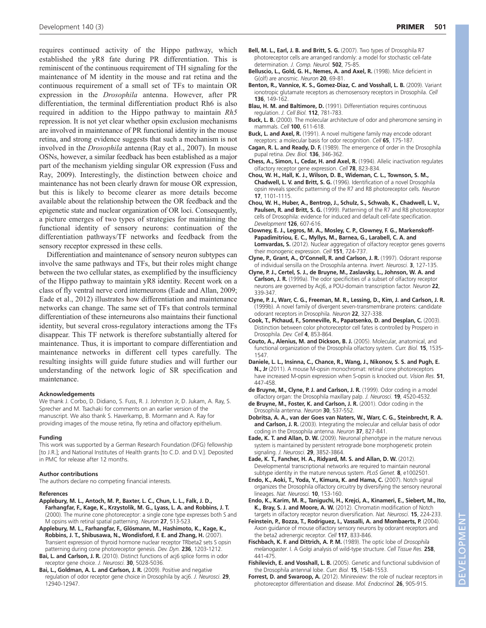requires continued activity of the Hippo pathway, which established the yR8 fate during PR differentiation. This is reminiscent of the continuous requirement of TH signaling for the maintenance of M identity in the mouse and rat retina and the continuous requirement of a small set of TFs to maintain OR expression in the *Drosophila* antenna. However, after PR differentiation, the terminal differentiation product Rh6 is also required in addition to the Hippo pathway to maintain *Rh5* repression. It is not yet clear whether opsin exclusion mechanisms are involved in maintenance of PR functional identity in the mouse retina, and strong evidence suggests that such a mechanism is not involved in the *Drosophila* antenna (Ray et al., 2007). In mouse OSNs, however, a similar feedback has been established as a major part of the mechanism yielding singular OR expression (Fuss and Ray, 2009). Interestingly, the distinction between choice and maintenance has not been clearly drawn for mouse OR expression, but this is likely to become clearer as more details become available about the relationship between the OR feedback and the epigenetic state and nuclear organization of OR loci. Consequently, a picture emerges of two types of strategies for maintaining the functional identity of sensory neurons: continuation of the differentiation pathways/TF networks and feedback from the sensory receptor expressed in these cells.

Differentiation and maintenance of sensory neuron subtypes can involve the same pathways and TFs, but their roles might change between the two cellular states, as exemplified by the insufficiency of the Hippo pathway to maintain yR8 identity. Recent work on a class of fly ventral nerve cord interneurons (Eade and Allan, 2009; Eade et al., 2012) illustrates how differentiation and maintenance networks can change. The same set of TFs that controls terminal differentiation of these interneurons also maintains their functional identity, but several cross-regulatory interactions among the TFs disappear. This TF network is therefore substantially altered for maintenance. Thus, it is important to compare differentiation and maintenance networks in different cell types carefully. The resulting insights will guide future studies and will further our understanding of the network logic of SR specification and maintenance.

#### **Acknowledgements**

We thank J. Corbo, D. Didiano, S. Fuss, R. J. Johnston Jr, D. Jukam, A. Ray, S. Sprecher and M. Tsachaki for comments on an earlier version of the manuscript. We also thank S. Haverkamp, B. Mormann and A. Ray for providing images of the mouse retina, fly retina and olfactory epithelium.

#### **Funding**

This work was supported by a German Research Foundation (DFG) fellowship [to J.R.]; and National Institutes of Health grants [to C.D. and D.V.]. Deposited in PMC for release after 12 months.

#### **Author contributions**

The authors declare no competing financial interests.

#### **References**

- **Applebury, M. L., Antoch, M. P., Baxter, L. C., Chun, L. L., Falk, J. D., Farhangfar, F., Kage, K., Krzystolik, M. G., Lyass, L. A. and Robbins, J. T.** (2000). The murine cone photoreceptor: a single cone type expresses both S and M opsins with retinal spatial patterning. *Neuron* **27**, 513-523.
- **Applebury, M. L., Farhangfar, F., Glösmann, M., Hashimoto, K., Kage, K., Robbins, J. T., Shibusawa, N., Wondisford, F. E. and Zhang, H.** (2007). Transient expression of thyroid hormone nuclear receptor TRbeta2 sets S opsin patterning during cone photoreceptor genesis. *Dev. Dyn.* **236**, 1203-1212.
- **Bai, L. and Carlson, J. R.** (2010). Distinct functions of acj6 splice forms in odor receptor gene choice. *J. Neurosci.* **30**, 5028-5036.
- **Bai, L., Goldman, A. L. and Carlson, J. R.** (2009). Positive and negative regulation of odor receptor gene choice in Drosophila by acj6. *J. Neurosci.* **29**, 12940-12947.
- **Bell, M. L., Earl, J. B. and Britt, S. G.** (2007). Two types of Drosophila R7 photoreceptor cells are arranged randomly: a model for stochastic cell-fate determination. *J. Comp. Neurol.* **502**, 75-85.
- **Belluscio, L., Gold, G. H., Nemes, A. and Axel, R.** (1998). Mice deficient in G(olf) are anosmic. *Neuron* **20**, 69-81.
- **Benton, R., Vannice, K. S., Gomez-Diaz, C. and Vosshall, L. B.** (2009). Variant ionotropic glutamate receptors as chemosensory receptors in Drosophila. *Cell* **136**, 149-162.
- **Blau, H. M. and Baltimore, D.** (1991). Differentiation requires continuous regulation. *J. Cell Biol.* **112**, 781-783.
- **Buck, L. B.** (2000). The molecular architecture of odor and pheromone sensing in mammals. *Cell* **100**, 611-618.
- **Buck, L. and Axel, R.** (1991). A novel multigene family may encode odorant receptors: a molecular basis for odor recognition. *Cell* **65**, 175-187.
- **Cagan, R. L. and Ready, D. F.** (1989). The emergence of order in the Drosophila pupal retina. *Dev. Biol.* **136**, 346-362.
- **Chess, A., Simon, I., Cedar, H. and Axel, R.** (1994). Allelic inactivation regulates olfactory receptor gene expression. *Cell* **78**, 823-834.
- **Chou, W. H., Hall, K. J., Wilson, D. B., Wideman, C. L., Townson, S. M., Chadwell, L. V. and Britt, S. G.** (1996). Identification of a novel Drosophila opsin reveals specific patterning of the R7 and R8 photoreceptor cells. *Neuron* **17**, 1101-1115.
- **Chou, W. H., Huber, A., Bentrop, J., Schulz, S., Schwab, K., Chadwell, L. V., Paulsen, R. and Britt, S. G.** (1999). Patterning of the R7 and R8 photoreceptor cells of Drosophila: evidence for induced and default cell-fate specification. *Development* **126**, 607-616.
- **Clowney, E. J., Legros, M. A., Mosley, C. P., Clowney, F. G., Markenskoff-Papadimitriou, E. C., Myllys, M., Barnea, G., Larabell, C. A. and** Lomvardas, S. (2012). Nuclear aggregation of olfactory receptor genes governs their monogenic expression. *Cell* **151**, 724-737.
- **Clyne, P., Grant, A., O'Connell, R. and Carlson, J. R.** (1997). Odorant response of individual sensilla on the Drosophila antenna. *Invert. Neurosci.* **3**, 127-135.
- **Clyne, P. J., Certel, S. J., de Bruyne, M., Zaslavsky, L., Johnson, W. A. and Carlson, J. R.** (1999a). The odor specificities of a subset of olfactory receptor neurons are governed by Acj6, a POU-domain transcription factor. *Neuron* **22**, 339-347.
- **Clyne, P. J., Warr, C. G., Freeman, M. R., Lessing, D., Kim, J. and Carlson, J. R.** (1999b). A novel family of divergent seven-transmembrane proteins: candidate odorant receptors in Drosophila. *Neuron* **22**, 327-338.
- **Cook, T., Pichaud, F., Sonneville, R., Papatsenko, D. and Desplan, C.** (2003). Distinction between color photoreceptor cell fates is controlled by Prospero in Drosophila. *Dev. Cell* **4**, 853-864.
- **Couto, A., Alenius, M. and Dickson, B. J.** (2005). Molecular, anatomical, and functional organization of the Drosophila olfactory system. *Curr. Biol.* **15**, 1535- 1547.
- **Daniele, L. L., Insinna, C., Chance, R., Wang, J., Nikonov, S. S. and Pugh, E. N., Jr** (2011). A mouse M-opsin monochromat: retinal cone photoreceptors have increased M-opsin expression when S-opsin is knocked out. *Vision Res.* **51**, 447-458.
- **de Bruyne, M., Clyne, P. J. and Carlson, J. R.** (1999). Odor coding in a model olfactory organ: the Drosophila maxillary palp. *J. Neurosci.* **19**, 4520-4532.
- **de Bruyne, M., Foster, K. and Carlson, J. R.** (2001). Odor coding in the Drosophila antenna. *Neuron* **30**, 537-552.
- **Dobritsa, A. A., van der Goes van Naters, W., Warr, C. G., Steinbrecht, R. A. and Carlson, J. R.** (2003). Integrating the molecular and cellular basis of odor coding in the Drosophila antenna. *Neuron* **37**, 827-841.
- **Eade, K. T. and Allan, D. W.** (2009). Neuronal phenotype in the mature nervous system is maintained by persistent retrograde bone morphogenetic protein signaling. *J. Neurosci.* **29**, 3852-3864.
- **Eade, K. T., Fancher, H. A., Ridyard, M. S. and Allan, D. W.** (2012). Developmental transcriptional networks are required to maintain neuronal subtype identity in the mature nervous system. *PLoS Genet.* **8**, e1002501.
- **Endo, K., Aoki, T., Yoda, Y., Kimura, K. and Hama, C.** (2007). Notch signal organizes the Drosophila olfactory circuitry by diversifying the sensory neuronal lineages. *Nat. Neurosci.* **10**, 153-160.
- **Endo, K., Karim, M. R., Taniguchi, H., Krejci, A., Kinameri, E., Siebert, M., Ito, K., Bray, S. J. and Moore, A. W.** (2012). Chromatin modification of Notch targets in olfactory receptor neuron diversification. *Nat. Neurosci.* **15**, 224-233.
- **Feinstein, P., Bozza, T., Rodriguez, I., Vassalli, A. and Mombaerts, P.** (2004). Axon guidance of mouse olfactory sensory neurons by odorant receptors and the beta2 adrenergic receptor. *Cell* **117**, 833-846.
- **Fischbach, K. F. and Dittrich, A. P. M.** (1989). The optic lobe of *Drosophila melanogaster*. I. A Golgi analysis of wild-type structure. *Cell Tissue Res.* **258**, 441-475.
- **Fishilevich, E. and Vosshall, L. B.** (2005). Genetic and functional subdivision of the Drosophila antennal lobe. *Curr. Biol.* **15**, 1548-1553.
- **Forrest, D. and Swaroop, A.** (2012). Minireview: the role of nuclear receptors in photoreceptor differentiation and disease. *Mol. Endocrinol.* **26**, 905-915.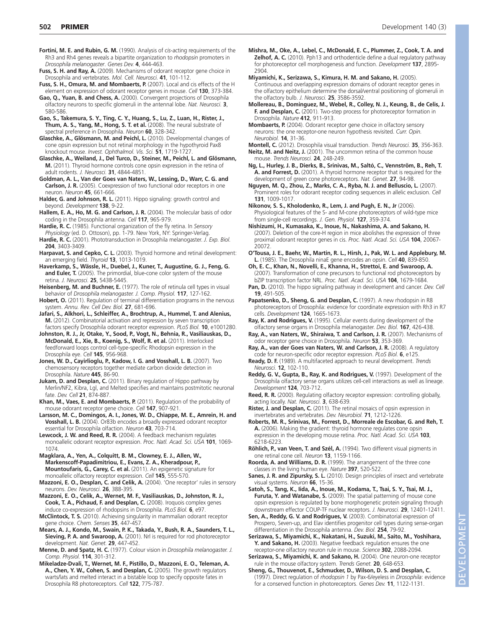- **Fuss, S. H. and Ray, A.** (2009). Mechanisms of odorant receptor gene choice in Drosophila and vertebrates. *Mol. Cell. Neurosci.* **41**, 101-112.
- **Fuss, S. H., Omura, M. and Mombaerts, P.** (2007). Local and cis effects of the H element on expression of odorant receptor genes in mouse. *Cell* **130**, 373-384.
- **Gao, Q., Yuan, B. and Chess, A.** (2000). Convergent projections of Drosophila olfactory neurons to specific glomeruli in the antennal lobe. *Nat. Neurosci.* **3**, 580-586.
- **Gao, S., Takemura, S. Y., Ting, C. Y., Huang, S., Lu, Z., Luan, H., Rister, J., Thum, A. S., Yang, M., Hong, S. T. et al.** (2008). The neural substrate of spectral preference in Drosophila. *Neuron* **60**, 328-342.

**Glaschke, A., Glösmann, M. and Peichl, L.** (2010). Developmental changes of cone opsin expression but not retinal morphology in the hypothyroid Pax8 knockout mouse. *Invest. Ophthalmol. Vis. Sci.* **51**, 1719-1727.

**Glaschke, A., Weiland, J., Del Turco, D., Steiner, M., Peichl, L. and Glösmann, M.** (2011). Thyroid hormone controls cone opsin expression in the retina of adult rodents. *J. Neurosci.* **31**, 4844-4851.

- **Goldman, A. L., Van der Goes van Naters, W., Lessing, D., Warr, C. G. and Carlson, J. R.** (2005). Coexpression of two functional odor receptors in one neuron. *Neuron* **45**, 661-666.
- **Halder, G. and Johnson, R. L.** (2011). Hippo signaling: growth control and beyond. *Development* **138**, 9-22.

**Hallem, E. A., Ho, M. G. and Carlson, J. R.** (2004). The molecular basis of odor coding in the Drosophila antenna. *Cell* **117**, 965-979.

**Hardie, R. C.** (1985). Functional organization of the fly retina. In *Sensory*

Physiology (ed. D. Ottoson), pp. 1-79. New York, NY: Springer-Verlag. **Hardie, R. C.** (2001). Phototransduction in Drosophila melanogaster. *J. Exp. Biol.* **204**, 3403-3409.

**Harpavat, S. and Cepko, C. L.** (2003). Thyroid hormone and retinal development: an emerging field. *Thyroid* **13**, 1013-1019.

**Haverkamp, S., Wässle, H., Duebel, J., Kuner, T., Augustine, G. J., Feng, G. and Euler, T.** (2005). The primordial, blue-cone color system of the mouse retina. *J. Neurosci.* **25**, 5438-5445.

**Heisenberg, M. and Buchner, E.** (1977). The role of retinula cell types in visual behavior of *Drosophila melanogaster. J. Comp. Physiol.* **117**, 127-162.

**Hobert, O.** (2011). Regulation of terminal differentiation programs in the nervous system. *Annu. Rev. Cell Dev. Biol.* **27**, 681-696.

**Jafari, S., Alkhori, L., Schleiffer, A., Brochtrup, A., Hummel, T. and Alenius, M.** (2012). Combinatorial activation and repression by seven transcription factors specify Drosophila odorant receptor expression. *PLoS Biol.* **10**, e1001280.

**Johnston, R. J., Jr, Otake, Y., Sood, P., Vogt, N., Behnia, R., Vasiliauskas, D., McDonald, E., Xie, B., Koenig, S., Wolf, R. et al.** (2011). Interlocked feedforward loops control cell-type-specific Rhodopsin expression in the Drosophila eye. *Cell* **145**, 956-968.

**Jones, W. D., Cayirlioglu, P., Kadow, I. G. and Vosshall, L. B.** (2007). Two chemosensory receptors together mediate carbon dioxide detection in Drosophila. *Nature* **445**, 86-90.

**Jukam, D. and Desplan, C.** (2011). Binary regulation of Hippo pathway by Merlin/NF2, Kibra, Lgl, and Melted specifies and maintains postmitotic neuronal fate. *Dev. Cell* **21**, 874-887.

**Khan, M., Vaes, E. and Mombaerts, P.** (2011). Regulation of the probability of mouse odorant receptor gene choice. *Cell* **147**, 907-921.

**Larsson, M. C., Domingos, A. I., Jones, W. D., Chiappe, M. E., Amrein, H. and Vosshall, L. B.** (2004). Or83b encodes a broadly expressed odorant receptor essential for Drosophila olfaction. *Neuron* **43**, 703-714.

**Lewcock, J. W. and Reed, R. R.** (2004). A feedback mechanism regulates monoallelic odorant receptor expression. *Proc. Natl. Acad. Sci. USA* **101**, 1069- 1074.

**Magklara, A., Yen, A., Colquitt, B. M., Clowney, E. J., Allen, W., Markenscoff-Papadimitriou, E., Evans, Z. A., Kheradpour, P., Mountoufaris, G., Carey, C. et al.** (2011). An epigenetic signature for monoallelic olfactory receptor expression. *Cell* **145**, 555-570.

**Mazzoni, E. O., Desplan, C. and Celik, A.** (2004). 'One receptor' rules in sensory neurons. *Dev. Neurosci.* **26**, 388-395.

**Mazzoni, E. O., Celik, A., Wernet, M. F., Vasiliauskas, D., Johnston, R. J., Cook, T. A., Pichaud, F. and Desplan, C.** (2008). Iroquois complex genes induce co-expression of rhodopsins in Drosophila. *PLoS Biol.* **6**, e97.

**McClintock, T. S.** (2010). Achieving singularity in mammalian odorant receptor gene choice. *Chem. Senses* **35**, 447-457.

- **Mears, A. J., Kondo, M., Swain, P. K., Takada, Y., Bush, R. A., Saunders, T. L., Sieving, P. A. and Swaroop, A.** (2001). Nrl is required for rod photoreceptor development. *Nat. Genet.* **29**, 447-452.
- **Menne, D. and Spatz, H. C.** (1977). Colour vision in *Drosophila melanogaster. J. Comp. Physiol.* **114**, 301-312.

**Mikeladze-Dvali, T., Wernet, M. F., Pistillo, D., Mazzoni, E. O., Teleman, A. A., Chen, Y. W., Cohen, S. and Desplan, C.** (2005). The growth regulators warts/lats and melted interact in a bistable loop to specify opposite fates in Drosophila R8 photoreceptors. *Cell* **122**, 775-787.

**Mishra, M., Oke, A., Lebel, C., McDonald, E. C., Plummer, Z., Cook, T. A. and Zelhof, A. C.** (2010). Pph13 and orthodenticle define a dual regulatory pathway for photoreceptor cell morphogenesis and function. *Development* **137**, 2895- 2904.

**Miyamichi, K., Serizawa, S., Kimura, H. M. and Sakano, H.** (2005). Continuous and overlapping expression domains of odorant receptor genes in the olfactory epithelium determine the dorsal/ventral positioning of glomeruli in the olfactory bulb. *J. Neurosci.* **25**, 3586-3592.

**Mollereau, B., Dominguez, M., Webel, R., Colley, N. J., Keung, B., de Celis, J. F. and Desplan, C.** (2001). Two-step process for photoreceptor formation in Drosophila. *Nature* **412**, 911-913.

**Mombaerts, P.** (2004). Odorant receptor gene choice in olfactory sensory neurons: the one receptor-one neuron hypothesis revisited. *Curr. Opin. Neurobiol.* **14**, 31-36.

**Montell, C.** (2012). Drosophila visual transduction. *Trends Neurosci.* **35**, 356-363. **Neitz, M. and Neitz, J.** (2001). The uncommon retina of the common house mouse. *Trends Neurosci.* **24**, 248-249.

**Ng, L., Hurley, J. B., Dierks, B., Srinivas, M., Saltó, C., Vennström, B., Reh, T. A. and Forrest, D.** (2001). A thyroid hormone receptor that is required for the development of green cone photoreceptors. *Nat. Genet.* **27**, 94-98.

**Nguyen, M. Q., Zhou, Z., Marks, C. A., Ryba, N. J. and Belluscio, L.** (2007). Prominent roles for odorant receptor coding sequences in allelic exclusion. *Cell* **131**, 1009-1017.

**Nikonov, S. S., Kholodenko, R., Lem, J. and Pugh, E. N., Jr** (2006). Physiological features of the S- and M-cone photoreceptors of wild-type mice from single-cell recordings. *J. Gen. Physiol.* **127**, 359-374.

**Nishizumi, H., Kumasaka, K., Inoue, N., Nakashima, A. and Sakano, H.** (2007). Deletion of the core-H region in mice abolishes the expression of three proximal odorant receptor genes in cis. *Proc. Natl. Acad. Sci. USA* **104**, 20067- 20072.

**O'Tousa, J. E., Baehr, W., Martin, R. L., Hirsh, J., Pak, W. L. and Applebury, M. L.** (1985). The Drosophila ninaE gene encodes an opsin. *Cell* **40**, 839-850.

**Oh, E. C., Khan, N., Novelli, E., Khanna, H., Strettoi, E. and Swaroop, A.** (2007). Transformation of cone precursors to functional rod photoreceptors by bZIP transcription factor NRL. *Proc. Natl. Acad. Sci. USA* **104**, 1679-1684.

**Pan, D.** (2010). The hippo signaling pathway in development and cancer. *Dev. Cell* **19**, 491-505.

**Papatsenko, D., Sheng, G. and Desplan, C.** (1997). A new rhodopsin in R8 photoreceptors of Drosophila: evidence for coordinate expression with Rh3 in R7 cells. *Development* **124**, 1665-1673.

**Ray, K. and Rodrigues, V.** (1995). Cellular events during development of the olfactory sense organs in Drosophila melanogaster. *Dev. Biol.* **167**, 426-438.

**Ray, A., van Naters, W., Shiraiwa, T. and Carlson, J. R.** (2007). Mechanisms of odor receptor gene choice in Drosophila. *Neuron* **53**, 353-369.

**Ray, A., van der Goes van Naters, W. and Carlson, J. R.** (2008). A regulatory code for neuron-specific odor receptor expression. *PLoS Biol.* **6**, e125.

**Ready, D. F.** (1989). A multifaceted approach to neural development. *Trends Neurosci.* **12**, 102-110.

**Reddy, G. V., Gupta, B., Ray, K. and Rodrigues, V.** (1997). Development of the Drosophila olfactory sense organs utilizes cell-cell interactions as well as lineage. *Development* **124**, 703-712.

**Reed, R. R.** (2000). Regulating olfactory receptor expression: controlling globally, acting locally. *Nat. Neurosci.* **3**, 638-639.

**Rister, J. and Desplan, C.** (2011). The retinal mosaics of opsin expression in invertebrates and vertebrates. *Dev. Neurobiol.* **71**, 1212-1226.

**Roberts, M. R., Srinivas, M., Forrest, D., Morreale de Escobar, G. and Reh, T. A.** (2006). Making the gradient: thyroid hormone regulates cone opsin expression in the developing mouse retina. *Proc. Natl. Acad. Sci. USA* **103**, 6218-6223.

- **Röhlich, P., van Veen, T. and Szél, A.** (1994). Two different visual pigments in one retinal cone cell. *Neuron* **13**, 1159-1166.
- **Roorda, A. and Williams, D. R.** (1999). The arrangement of the three cone classes in the living human eye. *Nature* **397**, 520-522.

**Sanes, J. R. and Zipursky, S. L.** (2010). Design principles of insect and vertebrate visual systems. *Neuron* **66**, 15-36.

**Satoh, S., Tang, K., Iida, A., Inoue, M., Kodama, T., Tsai, S. Y., Tsai, M. J., Furuta, Y. and Watanabe, S.** (2009). The spatial patterning of mouse cone opsin expression is regulated by bone morphogenetic protein signaling through downstream effector COUP-TF nuclear receptors. *J. Neurosci.* **29**, 12401-12411.

**Sen, A., Reddy, G. V. and Rodrigues, V.** (2003). Combinatorial expression of Prospero, Seven-up, and Elav identifies progenitor cell types during sense-organ differentiation in the Drosophila antenna. *Dev. Biol.* **254**, 79-92.

**Serizawa, S., Miyamichi, K., Nakatani, H., Suzuki, M., Saito, M., Yoshihara, Y. and Sakano, H.** (2003). Negative feedback regulation ensures the one receptor-one olfactory neuron rule in mouse. *Science* **302**, 2088-2094.

**Serizawa, S., Miyamichi, K. and Sakano, H.** (2004). One neuron-one receptor rule in the mouse olfactory system. *Trends Genet.* **20**, 648-653.

**Sheng, G., Thouvenot, E., Schmucker, D., Wilson, D. S. and Desplan, C.** (1997). Direct regulation of *rhodopsin 1* by Pax-6/eyeless in *Drosophila*: evidence for a conserved function in photoreceptors. *Genes Dev.* **11**, 1122-1131.